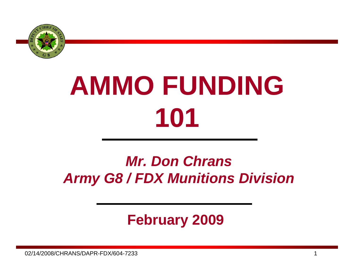

# **AMMO FUNDING 101**

## *Mr. Don Chrans Army G8 / FDX Munitions Division*

### **February 2009**

02/14/2008/CHRANS/DAPR-FDX/604-7233 $3$  and  $1$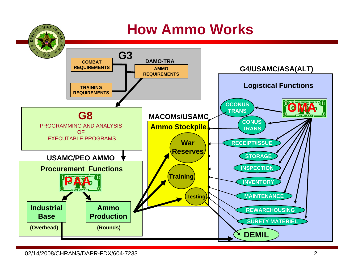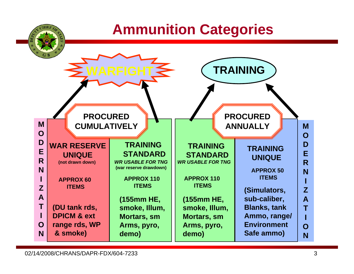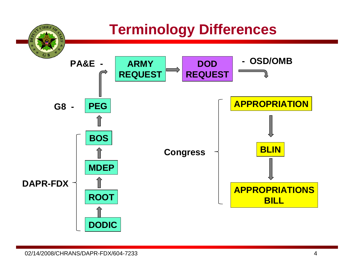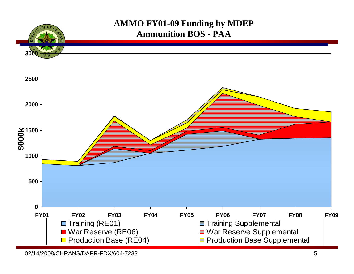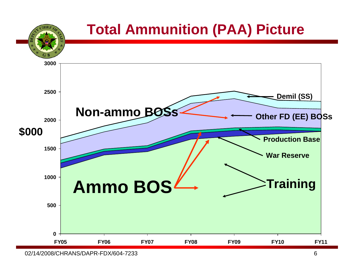

<sup>02/14/2008/</sup>CHRANS/DAPR-FDX/604-7233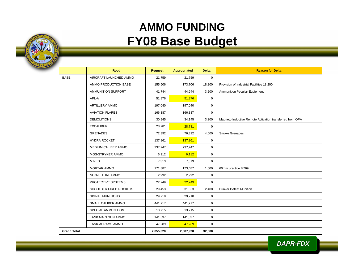#### **AMMO FUNDING FY08 Base Budget**

| ANS WORK BOYSE<br>1775 | MENT OF TH |
|------------------------|------------|

|                    | <b>Root</b>             | <b>Request</b> | <b>Appropriated</b> | <b>Delta</b> | <b>Reason for Delta</b>                                  |
|--------------------|-------------------------|----------------|---------------------|--------------|----------------------------------------------------------|
| <b>BASE</b>        | AIRCRAFT LAUNCHED AMMO  | 21,759         | 21,759              | $\mathbf 0$  |                                                          |
|                    | AMMO PRODUCTION BASE    | 155,506        | 173,706             | 18,200       | Provision of Industrial Facilities 18,200                |
|                    | AMMUNITION SUPPORT      | 41,744         | 44,944              | 3,200        | Ammunition Peculiar Equipment                            |
|                    | APL-A                   | 51,876         | 51,876              | $\mathbf 0$  |                                                          |
|                    | <b>ARTILLERY AMMO</b>   | 197,040        | 197,040             | $\mathbf 0$  |                                                          |
|                    | <b>AVIATION FLARES</b>  | 166,387        | 166,387             | $\mathbf 0$  |                                                          |
|                    | <b>DEMOLITIONS</b>      | 30,945         | 34,145              | 3,200        | Magneto Inductive Remote Activation transferred from OPA |
|                    | <b>EXCALIBUR</b>        | 28,781         | 28,781              | $\mathbf 0$  |                                                          |
|                    | <b>GRENADES</b>         | 72,392         | 76,392              | 4,000        | Smoke Grenades                                           |
|                    | <b>HYDRA ROCKET</b>     | 137,861        | 137,861             | $\mathbf 0$  |                                                          |
|                    | MEDIUM CALIBER AMMO     | 237,747        | 237,747             | $\mathbf 0$  |                                                          |
|                    | MGS-STRYKER AMMO        | 6,112          | 6,112               | $\mathbf 0$  |                                                          |
|                    | <b>MINES</b>            | 7,313          | 7,313               | $\mathbf 0$  |                                                          |
|                    | MORTAR AMMO             | 171,887        | 173,487             | 1,600        | 60mm practice M769                                       |
|                    | NON-LETHAL AMMO         | 2,992          | 2,992               | 0            |                                                          |
|                    | PROTECTIVE SYSTEMS      | 22,249         | 22,249              | $\mathbf 0$  |                                                          |
|                    | SHOULDER FIRED ROCKETS  | 29,453         | 31,853              | 2,400        | <b>Bunker Defeat Munition</b>                            |
|                    | <b>SIGNAL MUNITIONS</b> | 29,718         | 29,718              | $\mathbf 0$  |                                                          |
|                    | SMALL CALIBER AMMO      | 441,217        | 441,217             | $\mathbf 0$  |                                                          |
|                    | SPECIAL AMMUNITION      | 13,715         | 13,715              | $\mathbf 0$  |                                                          |
|                    | TANK MAIN GUN AMMO      | 141,337        | 141,337             | $\mathbf 0$  |                                                          |
|                    | TANK-ABRAMS AMMO        | 47,289         | 47,289              | $\mathbf 0$  |                                                          |
| <b>Grand Total</b> |                         | 2,055,320      | 2,087,920           | 32,600       |                                                          |

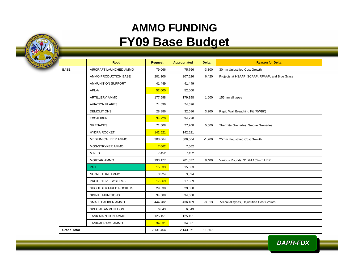#### **AMMO FUNDING FY09 Base Budget**

**BAS** 

|                    | Root                   | <b>Request</b> | <b>Appropriated</b> | <b>Delta</b> | <b>Reason for Delta</b>                         |
|--------------------|------------------------|----------------|---------------------|--------------|-------------------------------------------------|
| <b>BASE</b>        | AIRCRAFT LAUNCHED AMMO | 79,066         | 75,766              | $-3,300$     | 30mm Unjustified Cost Growth                    |
|                    | AMMO PRODUCTION BASE   | 201,106        | 207,526             | 6,420        | Projects at HSAAP, SCAAP, RFAAP, and Blue Grass |
|                    | AMMUNITION SUPPORT     | 41,449         | 41,449              |              |                                                 |
|                    | APL-A                  | 52,000         | 52,000              |              |                                                 |
|                    | <b>ARTILLERY AMMO</b>  | 177,598        | 179,198             | 1,600        | 155mm all types                                 |
|                    | <b>AVIATION FLARES</b> | 74,696         | 74,696              |              |                                                 |
|                    | <b>DEMOLITIONS</b>     | 28,886         | 32,086              | 3,200        | Rapid Wall Breaching Kit (RWBK)                 |
|                    | <b>EXCALIBUR</b>       | 34,220         | 34,220              |              |                                                 |
|                    | <b>GRENADES</b>        | 71,608         | 77,208              | 5,600        | Thermite Grenades, Smoke Grenades               |
|                    | <b>HYDRA ROCKET</b>    | 142,521        | 142,521             |              |                                                 |
|                    | MEDIUM CALIBER AMMO    | 308,064        | 306,364             | $-1,700$     | 25mm Unjustified Cost Growth                    |
|                    | MGS-STRYKER AMMO       | 7,662          | 7,662               |              |                                                 |
|                    | <b>MINES</b>           | 7,452          | 7,452               |              |                                                 |
|                    | <b>MORTAR AMMO</b>     | 193,177        | 201,577             | 8,400        | Various Rounds, \$1.2M 105mm HEP                |
|                    | <b>PGK</b>             | 15,633         | 15,633              |              |                                                 |
|                    | NON-LETHAL AMMO        | 3,324          | 3,324               |              |                                                 |
|                    | PROTECTIVE SYSTEMS     | 17,869         | 17,869              |              |                                                 |
|                    | SHOULDER FIRED ROCKETS | 29,638         | 29,638              |              |                                                 |
|                    | SIGNAL MUNITIONS       | 34,688         | 34,688              |              |                                                 |
|                    | SMALL CALIBER AMMO     | 444,782        | 436,169             | $-8,613$     | .50 cal all types, Unjustified Cost Growth      |
|                    | SPECIAL AMMUNITION     | 6,843          | 6,843               |              |                                                 |
|                    | TANK MAIN GUN AMMO     | 125,151        | 125,151             |              |                                                 |
|                    | TANK-ABRAMS AMMO       | 34,031         | 34,031              |              |                                                 |
| <b>Grand Total</b> |                        | 2,131,464      | 2,143,071           | 11,607       |                                                 |

*DAPR-FDX*